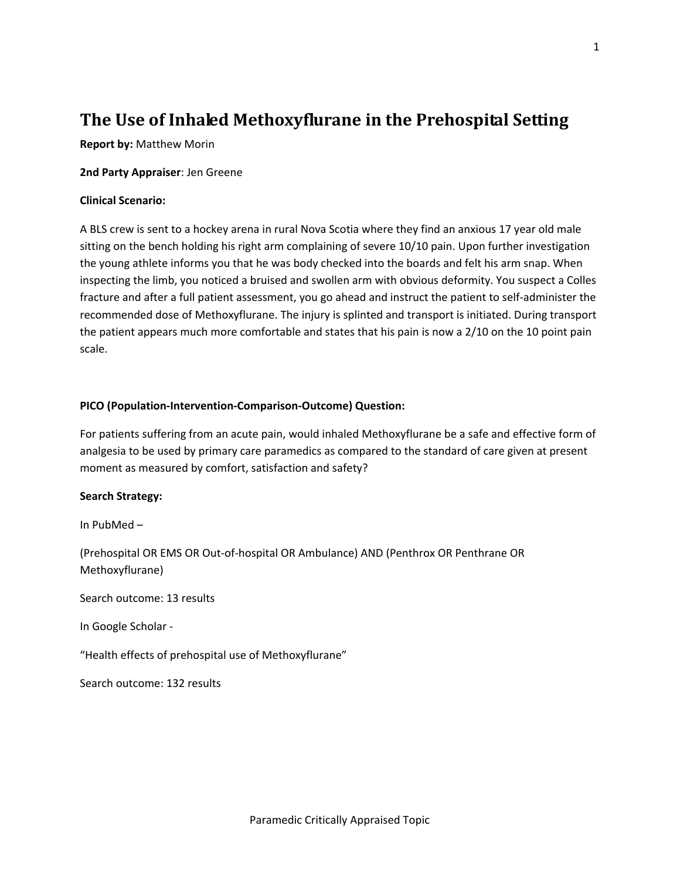# **The Use of Inhaled Methoxyflurane in the Prehospital Setting**

**Report by:** Matthew Morin

**2nd Party Appraiser**: Jen Greene

### **Clinical Scenario:**

A BLS crew is sent to a hockey arena in rural Nova Scotia where they find an anxious 17 year old male sitting on the bench holding his right arm complaining of severe 10/10 pain. Upon further investigation the young athlete informs you that he was body checked into the boards and felt his arm snap. When inspecting the limb, you noticed a bruised and swollen arm with obvious deformity. You suspect a Colles fracture and after a full patient assessment, you go ahead and instruct the patient to self‐administer the recommended dose of Methoxyflurane. The injury is splinted and transport is initiated. During transport the patient appears much more comfortable and states that his pain is now a 2/10 on the 10 point pain scale.

### **PICO (Population‐Intervention‐Comparison‐Outcome) Question:**

For patients suffering from an acute pain, would inhaled Methoxyflurane be a safe and effective form of analgesia to be used by primary care paramedics as compared to the standard of care given at present moment as measured by comfort, satisfaction and safety?

#### **Search Strategy:**

In PubMed –

(Prehospital OR EMS OR Out‐of‐hospital OR Ambulance) AND (Penthrox OR Penthrane OR Methoxyflurane)

Search outcome: 13 results

In Google Scholar ‐

"Health effects of prehospital use of Methoxyflurane"

Search outcome: 132 results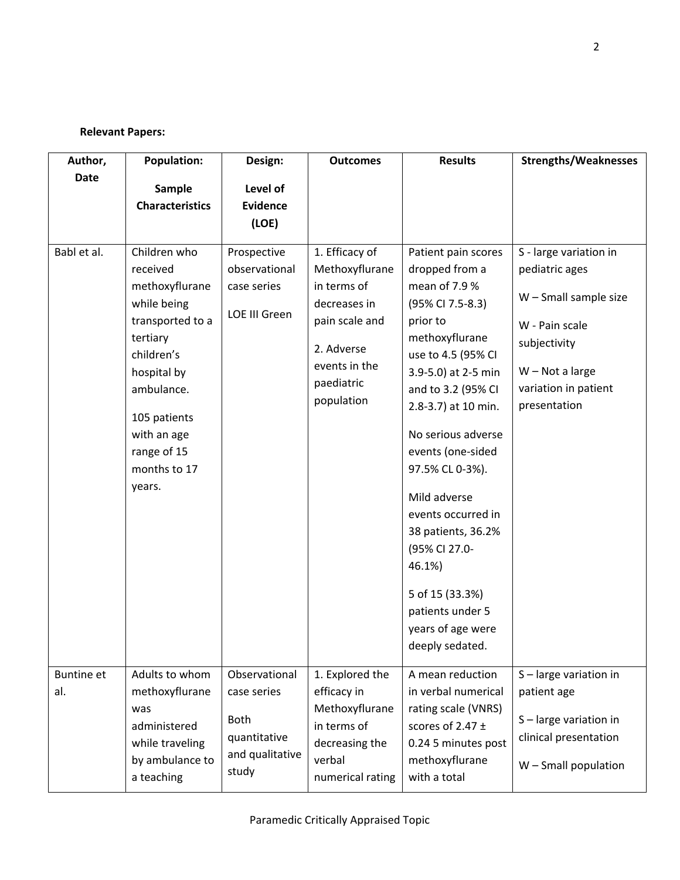# **Relevant Papers:**

| Author,                  | <b>Population:</b>                                                                                                                                                                                           | Design:                                                                                 | <b>Outcomes</b>                                                                                                                              | <b>Results</b>                                                                                                                                                                                                                                                                                                                                | <b>Strengths/Weaknesses</b>                                                                                                                                        |
|--------------------------|--------------------------------------------------------------------------------------------------------------------------------------------------------------------------------------------------------------|-----------------------------------------------------------------------------------------|----------------------------------------------------------------------------------------------------------------------------------------------|-----------------------------------------------------------------------------------------------------------------------------------------------------------------------------------------------------------------------------------------------------------------------------------------------------------------------------------------------|--------------------------------------------------------------------------------------------------------------------------------------------------------------------|
| <b>Date</b>              | Sample                                                                                                                                                                                                       | Level of                                                                                |                                                                                                                                              |                                                                                                                                                                                                                                                                                                                                               |                                                                                                                                                                    |
|                          | <b>Characteristics</b>                                                                                                                                                                                       | <b>Evidence</b>                                                                         |                                                                                                                                              |                                                                                                                                                                                                                                                                                                                                               |                                                                                                                                                                    |
|                          |                                                                                                                                                                                                              | (LOE)                                                                                   |                                                                                                                                              |                                                                                                                                                                                                                                                                                                                                               |                                                                                                                                                                    |
|                          |                                                                                                                                                                                                              |                                                                                         |                                                                                                                                              |                                                                                                                                                                                                                                                                                                                                               |                                                                                                                                                                    |
| Babl et al.              | Children who<br>received<br>methoxyflurane<br>while being<br>transported to a<br>tertiary<br>children's<br>hospital by<br>ambulance.<br>105 patients<br>with an age<br>range of 15<br>months to 17<br>years. | Prospective<br>observational<br>case series<br><b>LOE III Green</b>                     | 1. Efficacy of<br>Methoxyflurane<br>in terms of<br>decreases in<br>pain scale and<br>2. Adverse<br>events in the<br>paediatric<br>population | Patient pain scores<br>dropped from a<br>mean of 7.9 %<br>(95% CI 7.5-8.3)<br>prior to<br>methoxyflurane<br>use to 4.5 (95% CI<br>3.9-5.0) at 2-5 min<br>and to 3.2 (95% CI<br>2.8-3.7) at 10 min.<br>No serious adverse<br>events (one-sided<br>97.5% CL 0-3%).<br>Mild adverse<br>events occurred in<br>38 patients, 36.2%<br>(95% CI 27.0- | S - large variation in<br>pediatric ages<br>$W$ – Small sample size<br>W - Pain scale<br>subjectivity<br>$W - Not a large$<br>variation in patient<br>presentation |
|                          |                                                                                                                                                                                                              |                                                                                         |                                                                                                                                              | 46.1%)<br>5 of 15 (33.3%)<br>patients under 5<br>years of age were<br>deeply sedated.                                                                                                                                                                                                                                                         |                                                                                                                                                                    |
| <b>Buntine et</b><br>al. | Adults to whom<br>methoxyflurane<br>was<br>administered<br>while traveling<br>by ambulance to<br>a teaching                                                                                                  | Observational<br>case series<br><b>Both</b><br>quantitative<br>and qualitative<br>study | 1. Explored the<br>efficacy in<br>Methoxyflurane<br>in terms of<br>decreasing the<br>verbal<br>numerical rating                              | A mean reduction<br>in verbal numerical<br>rating scale (VNRS)<br>scores of 2.47 $\pm$<br>0.24 5 minutes post<br>methoxyflurane<br>with a total                                                                                                                                                                                               | S-large variation in<br>patient age<br>S-large variation in<br>clinical presentation<br>$W$ – Small population                                                     |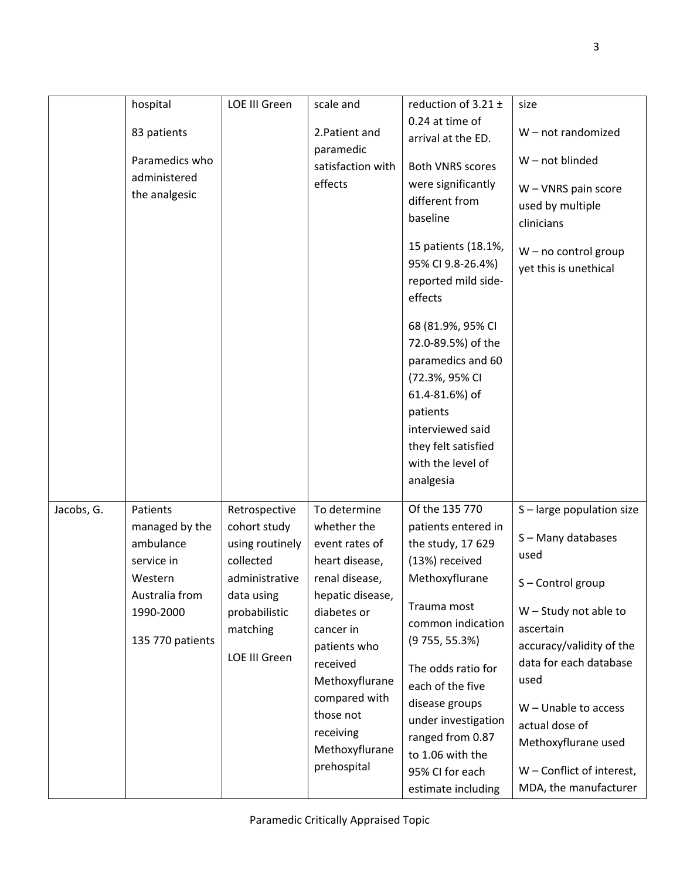|            | hospital                                                                                                            | <b>LOE III Green</b>                                                                                                                        | scale and                                                                                                                                                                                                                                                   | reduction of $3.21 \pm$<br>0.24 at time of                                                                                                                                                                                                                                                                                                             | size                                                                                                                                                                                                                                                                                                  |
|------------|---------------------------------------------------------------------------------------------------------------------|---------------------------------------------------------------------------------------------------------------------------------------------|-------------------------------------------------------------------------------------------------------------------------------------------------------------------------------------------------------------------------------------------------------------|--------------------------------------------------------------------------------------------------------------------------------------------------------------------------------------------------------------------------------------------------------------------------------------------------------------------------------------------------------|-------------------------------------------------------------------------------------------------------------------------------------------------------------------------------------------------------------------------------------------------------------------------------------------------------|
|            | 83 patients                                                                                                         |                                                                                                                                             | 2. Patient and                                                                                                                                                                                                                                              | arrival at the ED.                                                                                                                                                                                                                                                                                                                                     | W-not randomized                                                                                                                                                                                                                                                                                      |
|            | Paramedics who<br>administered<br>the analgesic                                                                     |                                                                                                                                             | paramedic<br>satisfaction with<br>effects                                                                                                                                                                                                                   | <b>Both VNRS scores</b><br>were significantly<br>different from<br>baseline<br>15 patients (18.1%,<br>95% CI 9.8-26.4%)<br>reported mild side-<br>effects<br>68 (81.9%, 95% CI<br>72.0-89.5%) of the<br>paramedics and 60<br>(72.3%, 95% CI<br>61.4-81.6%) of<br>patients<br>interviewed said<br>they felt satisfied<br>with the level of<br>analgesia | W-not blinded<br>$W - VNRS$ pain score<br>used by multiple<br>clinicians<br>$W$ – no control group<br>yet this is unethical                                                                                                                                                                           |
| Jacobs, G. | Patients<br>managed by the<br>ambulance<br>service in<br>Western<br>Australia from<br>1990-2000<br>135 770 patients | Retrospective<br>cohort study<br>using routinely<br>collected<br>administrative<br>data using<br>probabilistic<br>matching<br>LOE III Green | To determine<br>whether the<br>event rates of<br>heart disease,<br>renal disease,<br>hepatic disease,<br>diabetes or<br>cancer in<br>patients who<br>received<br>Methoxyflurane<br>compared with<br>those not<br>receiving<br>Methoxyflurane<br>prehospital | Of the 135 770<br>patients entered in<br>the study, 17 629<br>(13%) received<br>Methoxyflurane<br>Trauma most<br>common indication<br>(9755, 55.3%)<br>The odds ratio for<br>each of the five<br>disease groups<br>under investigation<br>ranged from 0.87<br>to 1.06 with the<br>95% CI for each<br>estimate including                                | S-large population size<br>S-Many databases<br>used<br>S-Control group<br>$W -$ Study not able to<br>ascertain<br>accuracy/validity of the<br>data for each database<br>used<br>$W$ – Unable to access<br>actual dose of<br>Methoxyflurane used<br>W - Conflict of interest,<br>MDA, the manufacturer |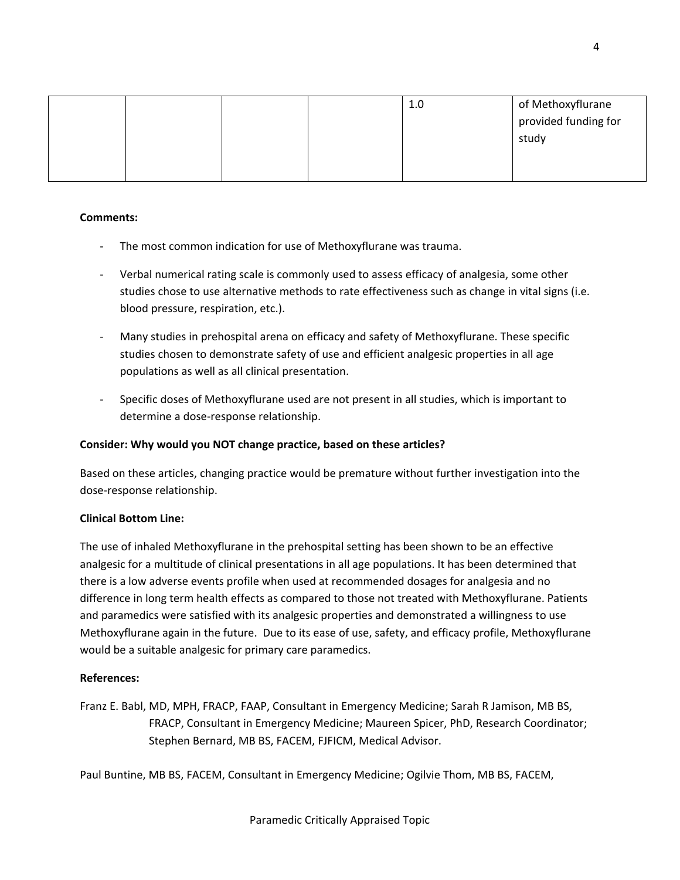|  | 1.0 | of Methoxyflurane    |
|--|-----|----------------------|
|  |     | provided funding for |
|  |     | study                |
|  |     |                      |
|  |     |                      |

### **Comments:**

- ‐ The most common indication for use of Methoxyflurane was trauma.
- ‐ Verbal numerical rating scale is commonly used to assess efficacy of analgesia, some other studies chose to use alternative methods to rate effectiveness such as change in vital signs (i.e. blood pressure, respiration, etc.).
- ‐ Many studies in prehospital arena on efficacy and safety of Methoxyflurane. These specific studies chosen to demonstrate safety of use and efficient analgesic properties in all age populations as well as all clinical presentation.
- Specific doses of Methoxyflurane used are not present in all studies, which is important to determine a dose‐response relationship.

### **Consider: Why would you NOT change practice, based on these articles?**

Based on these articles, changing practice would be premature without further investigation into the dose‐response relationship.

# **Clinical Bottom Line:**

The use of inhaled Methoxyflurane in the prehospital setting has been shown to be an effective analgesic for a multitude of clinical presentations in all age populations. It has been determined that there is a low adverse events profile when used at recommended dosages for analgesia and no difference in long term health effects as compared to those not treated with Methoxyflurane. Patients and paramedics were satisfied with its analgesic properties and demonstrated a willingness to use Methoxyflurane again in the future. Due to its ease of use, safety, and efficacy profile, Methoxyflurane would be a suitable analgesic for primary care paramedics.

# **References:**

Franz E. Babl, MD, MPH, FRACP, FAAP, Consultant in Emergency Medicine; Sarah R Jamison, MB BS, FRACP, Consultant in Emergency Medicine; Maureen Spicer, PhD, Research Coordinator; Stephen Bernard, MB BS, FACEM, FJFICM, Medical Advisor.

Paul Buntine, MB BS, FACEM, Consultant in Emergency Medicine; Ogilvie Thom, MB BS, FACEM,